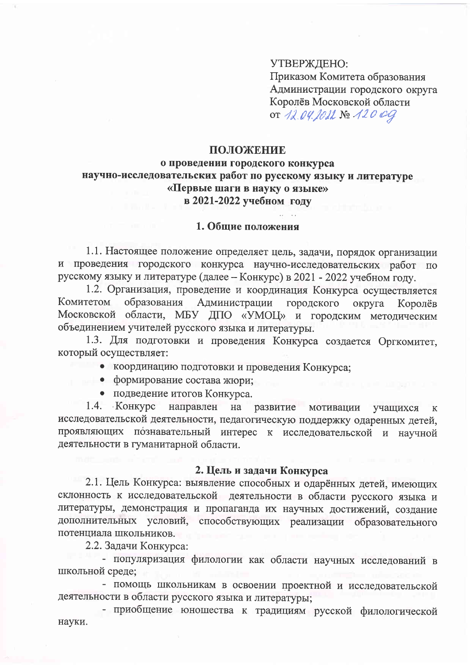УТВЕРЖДЕНО:

Приказом Комитета образования Администрации городского округа Королёв Московской области OT 12.04. JOIL No 120 09

### ПОЛОЖЕНИЕ

## о проведении городского конкурса научно-исследовательских работ по русскому языку и литературе «Первые шаги в науку о языке» в 2021-2022 учебном году

#### 1. Общие положения

1.1. Настоящее положение определяет цель, задачи, порядок организации и проведения городского конкурса научно-исследовательских работ по русскому языку и литературе (далее - Конкурс) в 2021 - 2022 учебном году.

1.2. Организация, проведение и координация Конкурса осуществляется Администрации Комитетом образования городского округа Королёв Московской области, МБУ ДПО «УМОЦ» и городским методическим объединением учителей русского языка и литературы.

1.3. Для подготовки и проведения Конкурса создается Оргкомитет, который осуществляет:

- координацию подготовки и проведения Конкурса;
- формирование состава жюри;
- подведение итогов Конкурса.

1.4. Конкурс направлен на развитие мотивации учащихся  $\mathbf K$ исследовательской деятельности, педагогическую поддержку одаренных детей, проявляющих познавательный интерес к исследовательской и научной деятельности в гуманитарной области.

#### 2. Цель и задачи Конкурса

2.1. Цель Конкурса: выявление способных и одарённых детей, имеющих склонность к исследовательской деятельности в области русского языка и литературы, демонстрация и пропаганда их научных достижений, создание дополнительных условий, способствующих реализации образовательного потенциала школьников.

2.2. Задачи Конкурса:

- популяризация филологии как области научных исследований в школьной среде;

- помощь школьникам в освоении проектной и исследовательской деятельности в области русского языка и литературы;

- приобщение юношества к традициям русской филологической науки.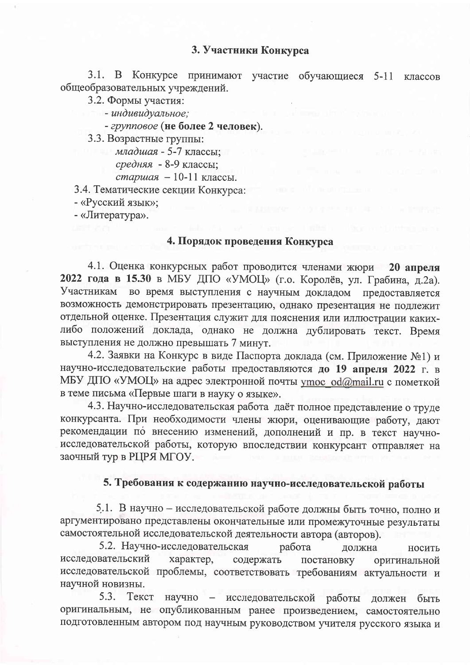## 3. Участники Конкурса

3.1. В Конкурсе принимают участие обучающиеся 5-11 классов общеобразовательных учреждений.

3.2. Формы участия:

- индивидуальное;

- групповое (не более 2 человек).

3.3. Возрастные группы:

младшая - 5-7 классы;

средняя - 8-9 классы;

старшая - 10-11 классы.

3.4. Тематические секции Конкурса:

- «Русский язык»;

- «Литература».

# 4. Порядок проведения Конкурса

4.1. Оценка конкурсных работ проводится членами жюри 20 апреля 2022 года в 15.30 в МБУ ДПО «УМОЦ» (г.о. Королёв, ул. Грабина, д.2а). Участникам во время выступления с научным докладом предоставляется возможность демонстрировать презентацию, однако презентация не подлежит отдельной оценке. Презентация служит для пояснения или иллюстрации какихлибо положений доклада, однако не должна дублировать текст. Время выступления не должно превышать 7 минут.

4.2. Заявки на Конкурс в виде Паспорта доклада (см. Приложение №1) и научно-исследовательские работы предоставляются до 19 апреля 2022 г. в МБУ ДПО «УМОЦ» на адрес электронной почты утос od@mail.ru с пометкой в теме письма «Первые шаги в науку о языке».

4.3. Научно-исследовательская работа даёт полное представление о труде конкурсанта. При необходимости члены жюри, оценивающие работу, дают рекомендации по внесению изменений, дополнений и пр. в текст научноисследовательской работы, которую впоследствии конкурсант отправляет на заочный тур в РЦРЯ МГОУ.

## 5. Требования к содержанию научно-исследовательской работы

5.1. В научно - исследовательской работе должны быть точно, полно и аргументировано представлены окончательные или промежуточные результаты самостоятельной исследовательской деятельности автора (авторов).

5.2. Научно-исследовательская работа должна носить исследовательский характер, содержать постановку оригинальной исследовательской проблемы, соответствовать требованиям актуальности и научной новизны.

5.3. Текст научно - исследовательской работы должен быть оригинальным, не опубликованным ранее произведением, самостоятельно подготовленным автором под научным руководством учителя русского языка и